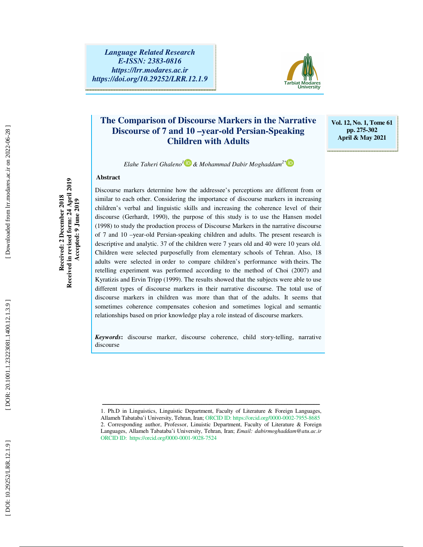

# **The Comparison of Discourse Markers in the Narrative Discourse of 7 and 10 –year-old Persian-Speaking Children with Adults**

**Vol. 12, No. 1, Tome 61 pp. 275-302 April & May 2021** 

*Elahe Taheri Ghaleno <sup>1</sup> & Mohammad Dabir Moghaddam2\**

Discourse markers determine how the addressee's perceptions are different from or

#### **Abstract**

**Received in revised form: 24 April 2019**  Received in revised form: 24 April 2019 Received: 2 December 2018 **Received: 2 December 2018 Accepted: 9 June 2019**  Accepted: 9 June 2019

similar to each other. Considering the importance of discourse markers in increasing children's verbal and linguistic skills and increasing the coherence level of their discourse (Gerhardt, 1990), the purpose of this study is to use the Hansen model (1998) to study the production process of Discourse Markers in the narrative discourse of 7 and 10 –year-old Persian-speaking children and adults. The present research is descriptive and analytic. 37 of the children were 7 years old and 40 were 10 years old. Children were selected purposefully from elementary schools of Tehran. Also, 18 adults were selected in order to compare children's performance with theirs. The retelling experiment was performed according to the method of Choi (2007) and Kyratizis and Ervin Tripp (1999). The results showed that the subjects were able to use different types of discourse markers in their narrative discourse. The total use of discourse markers in children was more than that of the adults. It seems that sometimes coherence compensates cohesion and sometimes logical and semantic relationships based on prior knowledge play a role instead of discourse markers.

*Keywords***:** discourse marker, discourse coherence, child story-telling, narrative discourse

ــــــــــــــــــــــــــــــــــــــــــــــــــــــــــــــــــــــــــــــــــــــــــــــــــــــــــــــــــــــــــــــــــــــــ

<sup>1.</sup> Ph.D in Linguistics, Linguistic Department, Faculty of Literature & Foreign Languages, Allameh Tabataba'i University, Tehran, Iran; ORCID ID: https://orcid.org/0000-0002-7955-8685 2. Corresponding author, Professor, Linuistic Department, Faculty of Literature & Foreign Languages, Allameh Tabataba'i University, Tehran, Iran; *Email: dabirmoghaddam@atu.ac.ir* ORCID ID: https://orcid.org/0000-0001-9028-7524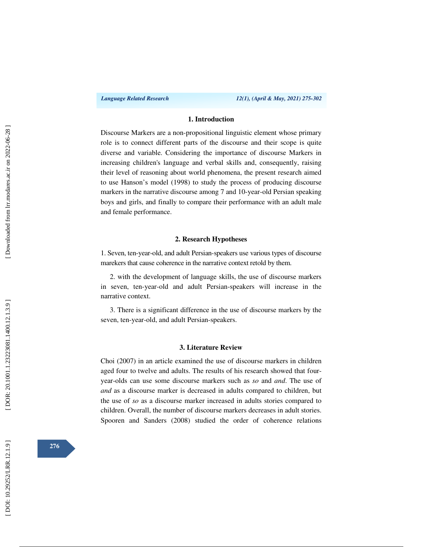#### **1. Introduction**

Discourse Markers are a non-propositional linguistic element whose primary role is to connect different parts of the discourse and their scope is quite diverse and variable. Considering the importance of discourse Markers in increasing children's language and verbal skills and, consequently, raising their level of reasoning about world phenomena, the present research aimed to use Hanson's model (1998) to study the process of producing discourse markers in the narrative discourse among 7 and 10-year-old Persian speaking boys and girls, and finally to compare their performance with an adult male and female performance.

#### **2. Research Hypotheses**

1. Seven, ten-year-old, and adult Persian -speakers use various types of discourse marekers that cause coherence in the narrative context retold by them.

2. with the development of language skills, the use of discourse markers in seven, ten-year-old and adult Persian -speakers will increase in the narrative context.

3. There is a significant difference in the use of discourse markers by the seven, ten-year-old, and adult Persian-speakers.

#### **3. Literature Review**

Choi (2007) in an article examined the use of discourse markers in children aged four to twelve and adults. The results of his research showed that fouryear-olds can use some discourse markers such as *so* and *and*. The use of *and* as a discourse marker is decreased in adults compared to children, but the use of *so* as a discourse marker increased in adults stories compared to children. Overall, the number of discourse markers decreases in adult stories. Spooren and Sanders (2008) studied the order of coherence relations

**276**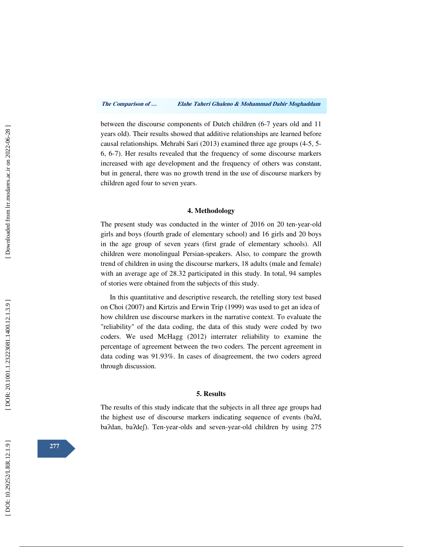between the discourse components of Dutch children (6-7 years old and 11 years old). Their results showed that additive relationships are learned before causal relationships. Mehrabi Sari (2013) examined three age groups (4-5, 5- 6, 6-7). Her results revealed that the frequency of some discourse markers increased with age development and the frequency of others was constant, but in general, there was no growth trend in the use of discourse markers by children aged four to seven years.

#### **4. Methodology**

The present study was conducted in the winter of 2016 on 20 ten-year-old girls and boys (fourth grade of elementary school) and 16 girls and 20 boys in the age group of seven years (first grade of elementary schools). All children were monolingual Persian-speakers. Also, to compare the growth trend of children in using the discourse markers, 18 adults (male and female) with an average age of 28.32 participated in this study. In total, 94 samples of stories were obtained from the subjects of this study.

In this quantitative and descriptive research, the retelling story test based on Choi (2007) and Kirtzis and Erwin Trip (1999) was used to get an idea of how children use discourse markers in the narrative context. To evaluate the "reliability" of the data coding, the data of this study were coded by two coders. We used McHagg (2012) interrater reliability to examine the percentage of agreement between the two coders. The percent agreement in data coding was 91.93%. In cases of disagreement, the two coders agreed through discussion.

#### **5. Results**

The results of this study indicate that the subjects in all three age groups had the highest use of discourse markers indicating sequence of events (ba ʔd, ba?dan, ba?def). Ten-year-olds and seven-year-old children by using 275

**277**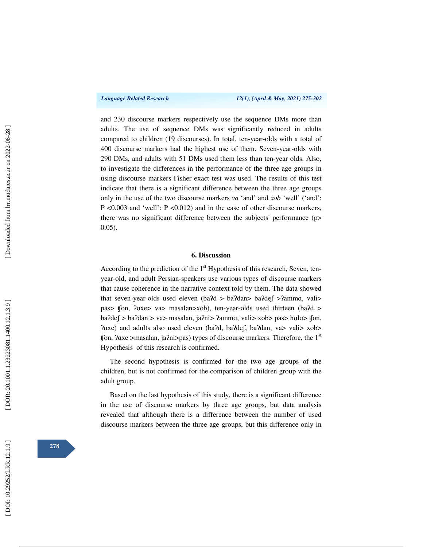and 230 discourse markers respectively use the sequence DMs more than adults. The use of sequence DMs was significantly reduced in adults compared to children (19 discourses). In total, ten-year-olds with a total of 400 discourse markers had the highest use of them. Seven-year-olds with 290 DMs, and adults with 51 DMs used them less than ten-year olds. Also, to investigate the differences in the performance of the three age groups in using discourse markers Fisher exact test was used. The results of this test indicate that there is a significant difference between the three age groups only in the use of the two discourse markers *va* 'and' and *xob* 'well' ('and': P <0.003 and 'well': P <0.012) and in the case of other discourse markers, there was no significant difference between the subjects' performance (p> 0.05).

#### **6. Discussion**

According to the prediction of the  $1<sup>st</sup>$  Hypothesis of this research, Seven, tenyear-old, and adult Persian-speakers use various types of discourse markers that cause coherence in the narrative context told by them. The data showed that seven-year-olds used eleven (ba?d > ba?dan> ba?def >?amma, vali> pas> ffon, *Paxe> va>* masalan>xob), ten-year-olds used thirteen (ba*Pd >* ba?def > ba?dan > va> masalan, ja?ni> ?amma, vali> xob> pas> hala> ffon, ʔɑxe) and adults also used eleven (ba ʔd, ba ʔdeʃ, ba ʔdan, va> vali> xob> fon,  $2axe > masalan$ ,  $ja2ni > pas$ ) types of discourse markers. Therefore, the 1<sup>st</sup> Hypothesis of this research is confirmed.

The second hypothesis is confirmed for the two age groups of the children, but is not confirmed for the comparison of children group with the adult group.

Based on the last hypothesis of this study, there is a significant difference in the use of discourse markers by three age groups, but data analysis revealed that although there is a difference between the number of used discourse markers between the three age groups, but this difference only in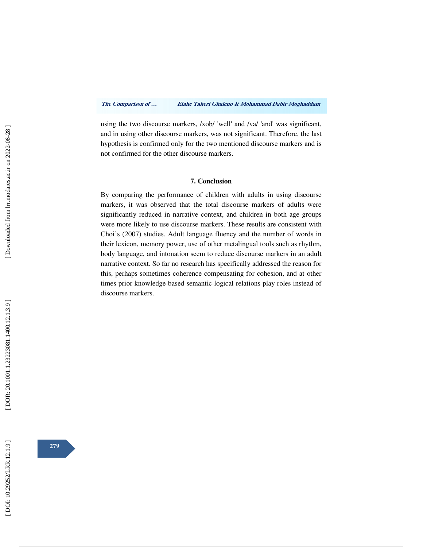using the two discourse markers, /xob/ 'well' and /va/ 'and' was significant, and in using other discourse markers, was not significant. Therefore, the last hypothesis is confirmed only for the two mentioned discourse markers and is not confirmed for the other discourse markers.

#### **7. Conclusion**

By comparing the performance of children with adults in using discourse markers, it was observed that the total discourse markers of adults were significantly reduced in narrative context, and children in both age groups were more likely to use discourse markers. These results are consistent with Choi's (2007) studies. Adult language fluency and the number of words in their lexicon, memory power, use of other metalingual tools such as rhythm, body language, and intonation seem to reduce discourse markers in an adult narrative context. So far no research has specifically addressed the reason for this, perhaps sometimes coherence compensating for cohesion, and at other times prior knowledge-based semantic-logical relations play roles instead of discourse markers.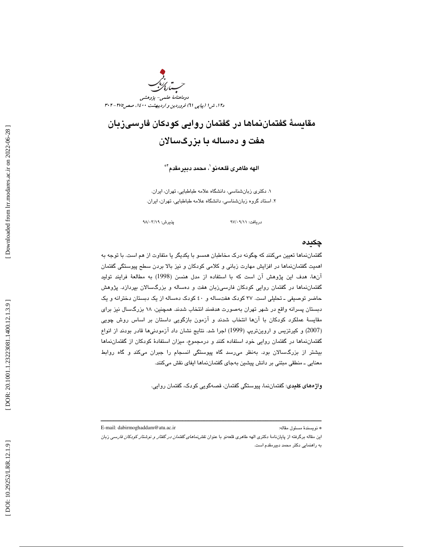

# مقايسة گفتماننماها در گفتمان روايي كودكان فارسيزبان هفت و دهساله با بزرگسالان

الهه طاهرى قلعەنو ٰ، محمد دبيرمقدم`\*

. دكتري زبانشناسي ، دانشگاه علامه طباطبايي، تهران، ايران. 1 . استاد گروه زبانشناسي ، دانشگاه علامه طباطبايي، تهران، ايران. 2

يذيرش: ٩٨/٠٣/١٩

دريافت: ٩٧/٠٩/١١

#### چكيده

گفتماننماها تعيين ميكنند كه چگونه درك مخاطبان همسو با يكديگر يا متفاوت از هم است. با توجه به اهميت گفتمان نماها در افزايش مهارت زباني و كلامي كودكان و نيز بالا بردن سطح پيوستگي گفتمان آنها، هدف اين پژوهش آن است كه با استفاده از مدل هنسن (1998) به مطالعة فرايند توليد گفتماننماها در گفتمان روايي كودكان فارسيزبان هفت و دهساله و بزرگسالان بپردازد. پژوهش حاضر توصیفی ـ تحلیلی است. ۳۷ کودک هفتساله و ٤٠ کودک دهساله از یک دبستان دخترانه و یک دبستان پسرانه واقع در شهر تهران بهصورت هدفمند انتخاب شدند. همچنين، 18 بزرگسال نيز براي مقايسة عملكرد كودكان با آنها انتخاب شدند و آزمون بازگويي داستان بر اساس روش چويي 2007) و كيرتزيس و اروينتريپ (1999) اجرا شد. نتايج نشان داد آزمودنيها قادر بودند از انواع ) گفتماننماها در گفتمان روايي خود استفاده كنند و درمجموع، ميزان استفادة كودكان از گفتماننماها بيشتر از بزرگسالان بود. بهنظر ميرسد گاه پيوستگي انسجام را جبران ميكند و گاه روابط معنايي ــ منطقي مبتني بر دانش پيشين بهجاي گفتماننماها ايفاي نقش ميكنند.

واژههاي كليدي: گفتماننما، پيوستگي گفتمان، قصهگويي كودك، گفتمان روايي.

E-mail: dabirmoghaddam@atu.ac.ir :مقاله مسئول نويسندة\*

اين مقاله برگرفته از پاياننامهٔ دكتري الهه طاهري قلعهنو با عنوان *نقش نماهاي گفتمان در گفتار و نوشتار كودكان فارسي* زبان به راهنمايي دكتر محمد دبيرمقدم است.

ــــــــــــــــــــــــــــــــــــــــــــــــــــــــــــــــــــــــــــــــــــــــــــــــــــــــــــــــــــــــــــــــــــــــــ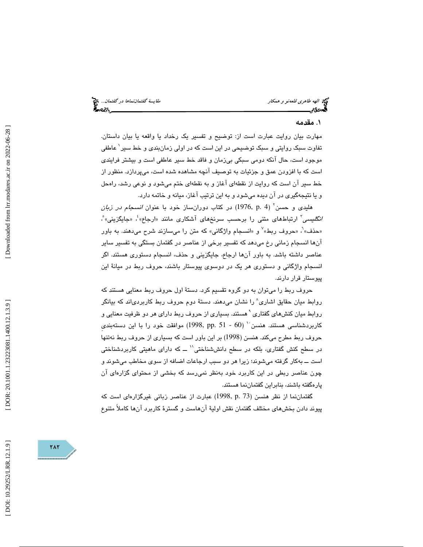الهه طاهري قلعهنو و همكار مقايسة گفتماننماها در گفتمان...

# . مقدمه 1

 مهارت بيان روايت عبارت است از : توضيح و تفسير يك رخداد يا واقعه يا بيان داستان . تفاوت سبك روايتي و سبك توضيحي در اين است كه در اولي زمانبندي و خط سير 1 ع اطفي موجود است ، حال آنكه دومي سبكي بيزمان و فاقد خط سير عاطفي است و بيشتر فرايندي است كه با افزودن عمق و جزئيات به توصيف آنچه مشاهده شده است ، ميپردازد . منظور از خط سير آن است كه روايت از نقطهاي آغاز و به نقطهاي ختم ميشود و نوعي رشد، راهحل و يا نتيج هگيري در آن ديده ميشود و به اين ترتيب آغاز، ميانه و خاتمه دارد .

هليدى و حسن<sup>י</sup> (4 .1976) در كتاب دورانساز خود با عنوان *انسجام در زبان* /نگ*ليسي*ّ ارتباطهاي متني را برحسب سرنخهاي آشكاري مانند «ارجاع»<sup>؛</sup>، «جايگزيني» ْ، «حذف»<sup>7</sup>، «حروف ربط»<sup>۷</sup> و «انسجام واژگانی» که متن را میسازند شرح میدهند. به باور آنها انسجام زماني رخ ميدهد كه تفسير برخي از عناصر در گفتمان بستگي به تفسير ساير عناصر داشته باشد. به باور آنها ارجاع، جايگزيني و حذف، انسجام دستوري هستند. اگر انسجام واژگاني و دستوري هر يك در دوسوي پيوستار باشند، حروف ربط در ميانة اين پيوستار قرار دارند.

حروف ربط را ميتوان به دو گروه تقسيم كرد. دستة اول حروف ربط معنايي هستند كه روابط میان حقایق اشاری^ را نشان میدهند. دستهٔ دوم حروف ربط کاربردیاند که بیانگر روابط ميان كنشهاي گفتاري `هستند. بسياري از حروف ربط داراي هر دو ظرفيت معنايي و ( 60 - 51 .pp 1998, (موافقت خود را با اين دستهبنديِ <sup>10</sup> كاربردشناسي هستند. هنسن حروف ربط مطرح ميكند. هنسن (1998) بر اين باور است كه بسياري از حروف ربط نهتنها در سطح كنش گفتاري، بلكه در سطح دانششناختي`` ـــ كه داراي ماهيتي كاربردشناختي است به ــ كار گرفته ميشوند ؛ زيرا هر دو سبب ارجاعات اضافه از سوي مخاطب ميشوند و چون عناصر ربطي در اين كاربرد خود بهنظر نميرسد كه بخشي از محتواي گزارهاي آن پارهگفته باشند، بنابراين گفتماننما هستند.

گفتماننما از نظر هنسن (73 .p 1998, (عبارت از عناصر زباني غيرگزارهاي است كه 1 پيوند دادن بخشهاي مختلف گفتمان نقش اولية آنهاست و گستر ة كاربرد آنها كاملاً متنوع

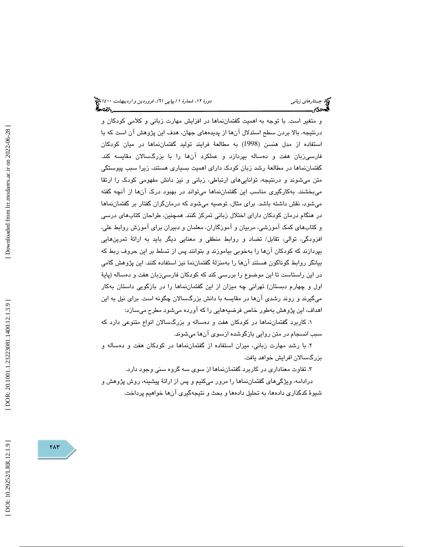و متغير است. با توجه به اهميت گفتماننماها در افزايش مهارت زباني و كلامي كودكان و درنتيجه، بالا بردن سطح استدلال آنها از پديدههاي جهان، هدف اين پژوهش آن است كه با استفاده از مدل هنسن (1998) به مطالعة فرايند توليد گفتماننماها در ميان كودكان فارسيزبان هفت و دهساله بپردازد و عملكرد آنها را با بزرگسالان مقايسه كند. گفتماننماها در مطالعة رشد زبان كودك داراي اهميت بسياري هستند ، زيرا سبب پيوستگي متن ميشوند و درنتيجه، تواناييهاي ارتباطي، زباني و نيز دانش مفهومي كودك را ارتقا ميبخشند. بهكارگيري مناسب اين گفتماننماها ميتواند در بهبود درك آنها از آن چه گفته ميشود ، نقش داشته باشد. براي مثال، توصيه ميشود كه درمانگران گفتار بر ن گفتمان ماها در هنگام درمان كودكان داراي اختلال زباني تمركز كنند . همچنين، طراحان كتابهاي درسي و كتابهاي كمك آموزشي، مربيان و آموزگاران، معلمان و دبيران براي آموزش روابط علي، افزودگي، توالي، تقابل/ تضاد و روابط منطقي و معنايي ديگر بايد به ارائة تمرينهايي بپردازند كه كودكان آنها را بهخوبي بياموزند و بتوانند پس از تسلط بر اين حروف ربط كه بيانگر روابط گوناگون هستند آنها را بهمنزلة گفتماننما نيز استفاده كنند. اين پژوهش گامي در اين راستاست تا اين موضوع را بررسي كند كه كودكان فارسيزبان هفت و دهساله (پاية اول و چهارم دبستان) تهراني چه ميزان از اين گفتمان به نماها را در بازگويي داستان كار ميگيرند و روند رشدي آنها در مقايسه با دانش بزرگسالان چگونه است. براي نيل به اين اهداف، اين پژوهش بهطور خاص فرضيههايي را كه آورده ميشود مطرح ميسازد:

۱. كاربرد گفتماننماها در كودكان هفت و دهساله و بزرگسىالان انواع متنوعي دارد كه سبب انسجام در متن روايي بازگوشده ازسوي آنها ميشوند.

x. با رشد مهارت زباني، ميزان استفاده از گفتماننماها در كودكان هفت و دهساله و بزرگسالان افرايش خواهد يافت.

3. تفاوت معناداري در كاربرد گفتماننماها از سوي سه گروه سني وجود دارد.

درادامه، ويژگيهاي گفتمان نماها را مرور ميكنيم و پس از ارائة پيشينه، روش پژوهش و شيوة كدگذاري دادهها، به تحليل دادهها و بحث و نتيجهگيري آنها خواهيم پرداخت.

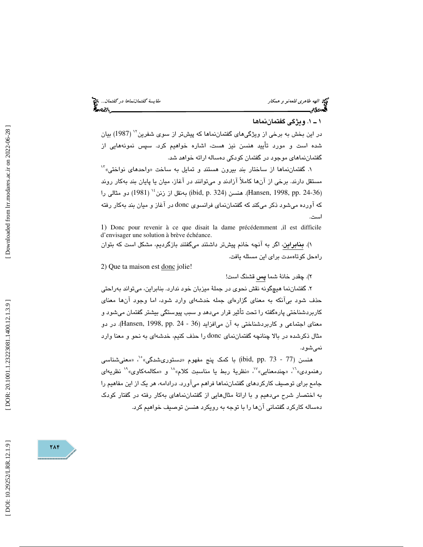### 1ـ 1 . ويژگي گفتماننماها

در اين بخش به برخي از ويژگيهاي گفتماننماها كه پيشتر از سوي شفرين<sup>۱٬</sup> (1987) بيان شده است و مورد تأييد هنسن نيز هست ، اشاره خواهيم كرد . سپس نمونههايي از گفتماننماهاي موجود در گفتمان كودكي دهساله ارائه خواهد شد.

۱. گفتماننماها از ساختار بند بیرون هستند و تمایل به ساخت «واحدهای نواختی»<sup>۱۲</sup> مستقل دارند . برخي از آنها كاملاً آزادند و ميتوانند در آغاز، ميان يا پايان بند بهكار روند (Hansen, 1998, pp. 24-36). هنسن (324 .jbid, p. بهنقل از زنن <sup>16</sup> (1981) دو مثال<sub></sub>ي را كه آورده ميشود ذكر ميكند كه گفتماننماي فرانسوي donc در آغاز و ميان بند بهكار رفته است.

1) Donc pour revenir à ce que disait la dame précédemment ,il est difficile d'envisager une solution à brève échéance.

 )1. بنابراين، اگر به آنچه خانم پيشتر داشتند ميگفتند بازگرديم، مشكل است كه بتوان راهحل كوتاهمدت براي اين مسئله يافت.

2) Que ta maison est donc jolie!

٢). چقدر خانهٔ شما **پس** قشنگ است!

۲. گفتماننما هیچگونه نقش نحوی در جملهٔ میزبان خود ندارد. بنابراین، میتواند بهراحتی حذف شود بيآنكه به معناي گزارهاي جمله خدشهاي وارد شود، اما وجود آنها معناي كاربردشناختي پارهگفته را تحت تأثير قرار ميدهد و سبب پيوستگي بيشتر گفتمان ميشود و معنای اجتماعی و کاربردشناختی به آن می|فزاید (Hansen, 1998, pp. 24 - 36). در دو مثال ذكرشده در بالا چنانچه گفتماننماي donc را حذف كنيم ، خدشهاي به نحو و معنا وارد نميشود.

هنسن (77 - 73 .jbid, pp.) با كمك پنج مفهوم «دستورىشدگى»°، «معنىشناسى هنسن (77 - 73 .pp. dibid, pp) با كمک پنج مفهوم «دستوریشدگی»°`، «معنیشناسی<br>رهنمودی»``، «چندمعنایی»``، «نظریهٔ ربط یا مناسبت کلام»`` و «مکالمهکاوی»`` نظریهای جامع براي توصيف كاركردهاي گفتمان نماها فراهم ميآورد. درادامه، هر يك از اين مفاهيم را به اختصار شرح ميدهيم و با ارائة مثالهايي از گفتم اننماهاي بهكار رفته در گفتار كودك دهساله كاركرد گفتماني آنها را با توجه به رويكرد هنسن توصيف خواهيم كرد.

DOI: 10.29252/LRR.12.1.9]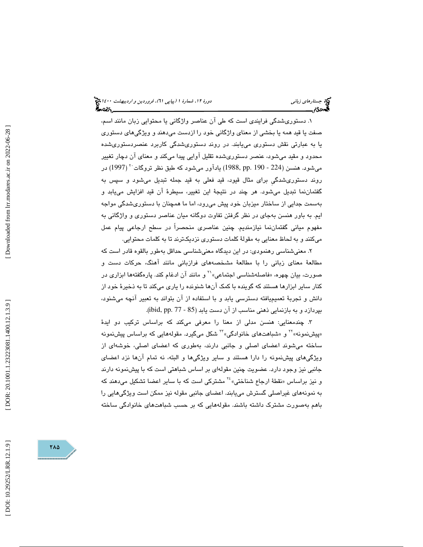. دستوريشدگي فرايندي است كه طي آن عناصر واژگاني يا محتوايي زبان مانند اسم، 1 صفت يا قيد همه يا بخشي از معناي واژگاني خود را ازدست ميدهند و ويژگيهاي دستوري يا به عبارتي نقش دستوري مييابند. در روند دستوريشدگي كاربرد عنصردستوريشده محدود و مقيد ميشود، عنصر دستوريشده تقليل آوايي پيدا ميكند و معناي آن دچار تغيير ميشود. هنسن (224 - 190 .pp 1988, (يادآور ميشود كه طبق نظر تروگات ( 1997) در <sup>20</sup> روند دستوريشدگيِ براي مثال قيود، قيد فعلي به قيد جمله تبديل ميشود و سپس به گفتماننما تبديل ميشود. هر چند در نتيجة اين تغيير، سيطرة آن قيد افزايش مييابد و بهسمت جدايي از ساختار ميزبان خود پيش مي درو ، اما ما همچنان با دستوريشدگي مواجه يم. به باور هنسن بهجاي در نظر گرفتن تفاوت دوگانه ميان عناصر دستوري و واژگاني به ا مفهوم مياني گفتماننما نيازمنديم. چنين عناصري منحصراً در سطح ارجاعي پيام عمل ميكنند و به لحاظ معنايي به مقولة كلمات دستوري نزديكترند تا به كلمات محتوايي.

. معنيشناسي رهنمودي: در اين ديدگاه معنيشناسي حداقل بهطور بالقوه قادر است كه 2 مطالعهٔ معنای زبانی را با مطالعهٔ مشخصههای فرازبانی مانند آهنگ، حرکات دست و<br>صورت، بیان چهره، «فاصلهشناسی اجتماعی» `` و مانند آن ادغام کند. پارهگفتهها ابزاری در كنار ساير ابزارها هستند كه گوينده با كمك آنها شنونده را ياري ميكند تا به ذخيرة خود از دانش و تجربة تعميميافته دسترسي يابد و با استفاده از آن بتواند به تعبير آنچه ميشنود ، بپردازد و به بازنمايي ذهني مناسب از آن دست يابد (85 - 177 .jbid, pp .

۳. چندمعنایی: هنسن مدلی از معنا را معرفی میکند که براساس ترکیب دو ایدهٔ «پیشنمونه»<sup>۲۲</sup> و «شباهتهای خانوادگی»<sup>۲۲</sup> شکل میگیرد. مقولههایی که براساس پیشنمونه ساخته ميشوند اعضاي اصلي و جانبي دارند، بهطوري كه اعضاي اصلي، خوشهاي از ويژگيهاي پيشنمونه را دارا هستند و ساير ويژگيها و البته، نه تمام آنها نزد اعضاي جانبی نیز وجود دارد. عضویت چنین مقولهای بر اساس شباهتی است که با پیشنمونه دارند<br>و نیز براساس «نقطهٔ ارجاع شناختی» <sup>۲</sup>۰ مشترکی است که با سایر اعضا تشکیل میدهند که به نمونههاي غيراصلي گسترش مييابند. اعضاي جانبي مقوله نيز ممكن است ويژگيهايي را باهم بهصورت مشترک داشته باشند. مقولههايي که بر حسب شباهتهاي خانوادگي ساخته

714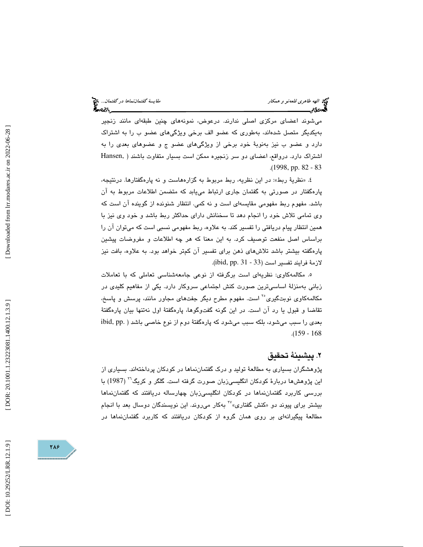ميشوند اعضاي مركزي اصلي ندارند. درعوض، نمونههاي چنين طبقهاي مانند زنجير بهيكديگر متصل شدهاند، بهطوري كه عضو الف برخي ويژگيهاي عضو ب را به اشتراك دارد و عضو ب نيز بهنوبة خود برخي از ويژگيهاي عضو ج و عضوهاي بعدي را به اشتراك دارد. درواقع، اعضاي دو سر زنجيره ممكن است بسيار متفاوت باشند ( ,Hansen .( 1998, pp. 82 - 83

٤. «نظريهٔ ربط»: در اين نظريه، ربط مربوط به گزارههاست و نه پارهگفتارها. درنتيجه، پارهگفتار در صورتي به گفتمان جاري ارتباط مييابد كه متضمن اطلاعات مربوط به آن باشد. مفهوم ربط مفهومي مقايسهاي است و نه كمي. انتظار شنونده از گوينده آن است كه وي تمامي تلاش خود را انجام دهد تا سخنانش داراي حداكثر ربط باشد و خود وي نيز با همين انتظار پيام دريافتي را تفسير كند. به علاوه ، ربط مفهومي نسبي است كه ميتوان آن را براساس اصل منفعت توصيف كرد. به اين معنا كه هر چه اطلاعات و مفروضات پيشين پارهگفته بيشتر باشد تلاشهاي ذهن براي تفسير آن كمتر خواهد بود. به علاوه ، بافت نيز لازمة فرايند تفسير است (33 - ibid, pp. 31).

ه. مكالمهكاوئ: نظريهای است برگرفته از نوعی جامعهشناسی تعاملی كه با تعاملات زباني بهمنزلة اساسيترين صورت كنش اجتماعي سروكار دارد. يكي از مفاهيم كليدي در مکالمهکاوی نوبتگیری<sup>°۲</sup> است. مفهوم مطرح دیگر جفتهای مجاور مانند، پرسش و پاسخ، تقاضا و قبول يا رد آن است. در اين گونه گفتوگوها، پارهگفتهٔ اول نهتنها بيان پارهگفتهٔ بعدي را سبب ميشود ، بلكه سبب ميشود كه پارهگفتة دوم از نوع خاصي باشد ( .pp ,ibid .( 159 - 168

# . پيشينة تحقيق 2

پژوهشگران بسياري به مطالعة توليد و درك گفتماننماها در كودكان پرداختهاند. بسياري از اين پژوهشها دربارهٔ كودكان انگليسي;زبان صورت گرفته است. گلگر و كريگ<sup>۲</sup>۰ (1987) با بررسی کاربرد گفتماننماها در کودکان انگلیسیزبان چهارساله دریافتند که گفتماننماها<br>بیشتر برای پیوند دو «کنش گفتاری»<sup>۲۷</sup> بهکار میروند. این نویسندگان دوسال بعد با انجام مطالعة پيگيرانهاي بر روي همان گروه از كودكان دريافتند كه كاربرد گفتماننماها در

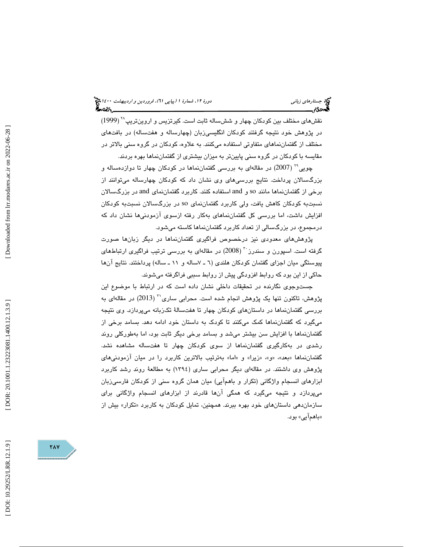نقشهای مختلف بین کودکان چهار و ششساله ثابت است. کیرتزیس و اروینتریپ<sup>۲۸</sup> (1999) در پژوهش خود نتيجه گرفتند كودكان انگليسيزبان (چهارساله و هفتساله) در بافتهاي مختلف از گفتماننماهای متفاوتی استفاده میكنند. به علاوه، كودكان در گروه سنی بالاتر در مقايسه با كودكان در گروه سني پايينتر به ميزان بيشتري از گفتماننماها بهره بردند.

چويي (2007) در مقالهاي به بررسي گفتماننماها در كودكان چهار تا دوازدهساله و <sup>29</sup> بزرگسالان پرداخت. نتايج بررسيهاي وي نشان داد كه كودكان چهارساله ميتوانند از برخي از گفتماننماها مانند so و and استفاده كنند. كاربرد گفتماننماي and در بزرگسالان نسبتبه كودكان كاهش يافت، ولي كاربرد گفتماننماي so در بزرگسالان نسبتبه كودكان افزايش داشت، اما بررسي كل گفتماننماهاي بهكار رفته ازسوي آزمود نيها نشان داد كه درمجموع، در بزرگسالي از تعداد كاربرد گفتماننماها كاسته مي شود.

پژوهشهاي معدودي نيز درخصوص فراگيري گفتماننماها در ديگر زبان ها صورت گرفته است. اسپورن و سندرز <sup>۳۰</sup> (2008) در مقالهای به بررسی ترتیب فراگیری ارتباطهای پيوستگي ميان اجزاي گفتمان كودكان هلندي ( 7ـ 6 ساله و ـ 11 ساله) پرداختند. نتايج آنها حاكي از اين بود كه روابط افزودگي پيش از روابط سببي فراگرفته ميشوند.

جستوجوی نگارنده در تحقیقات داخلی نشان داده است كه در ارتباط با موضوع این پژوهش، تاكنون تنها يک پژوهش انجام شده است. محرابی ساری<sup>۲۰</sup> (2013) در مقالهای به بررسي گفتماننماها در داستانهاي كودكان چهار تا هفتسالة تكزبانه ميپردازد. وي نتيجه ميگيرد كه گفتماننماها كمك ميكنند تا كودك به داستان خود ادامه دهد. بسامد برخي از گفتماننماها با افزايش سن بيشتر ميشد و بسامد برخي ديگر ثابت بود، اما بهطوركلي روند رشدي در بهكارگيري گفتماننماها از سوي كودكان چهار تا هفتساله مشاهده نشد. گفتماننماها «بعد»، «و»، «زيرا» و «اما» بەترتيب بالاترين كاربرد را در ميان ازمودنىھاى پژوهش وي داشتند. در مقالهاي ديگر محرابي ساري (1394) به مطالعة روند رشد كاربرد ابزارهاي انسجام واژگاني (تكرار و با همآيي) ميان همان گروه سني از كودكان فارسيزبان ميپردازد و نتيجه ميگيرد كه همگي آنها قادرند از ابزارهاي انسجام واژگاني براي سازماندهی داستانهای خود بهره ببرند. همچنین، تمایل کودکان به کاربرد «تکرار» بیش از «باهمآيي» بود.

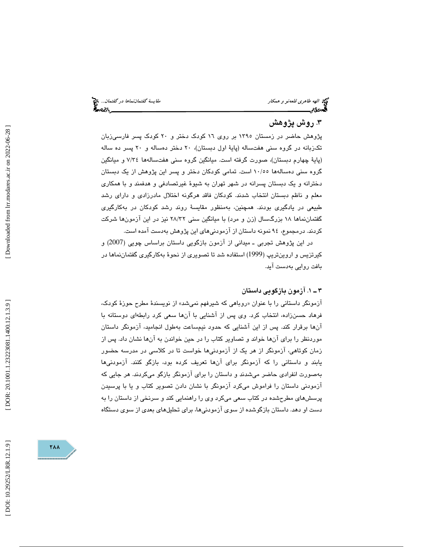الهه طاهري قلعهنو و همكار مقايسة گفتماننماها در گفتمان...

# ۳. روش پژوهش

پژوهش حاضر در زمستان 1395 بر روي 16 كودك دختر و 20 كودك پسر فارسيزبان تكزبانه در گروه سني هفتساله (پاية اول دبستان)، 20 دختر دهساله و 20 پسر ده ساله پاية چهارم دبستان)، صورت گرفته است. ميانگين گروه سني هفت سالهها 34/7 و ميانگين ) گروه سنی دهسالهها ۱۰/٥٥ است. تمامی كودكان دختر و پسر اين پژوهش از يک دبستان دخترانه و يك دبستان پسرانه در شهر تهران به شيوة غيرتصادفي و هدفمند و با همكاري معلم و ناظم دبستان انتخاب شدند. كودكان فاقد هرگونه اختلال مادرزادي و داراي رشد طبيعي در يادگيري بودند. همچنين، به منظور مقايسة روند رشد كودكان در بهكارگيري گفتماننماها ۱۸ بزرگسال (زن و مرد) با میانگین سنی ۲۸/۳۲ نیز در این ازمونها شرکت كردند. درمجموع، 94 نمونه داستان از آزمودنيهاي اين پژوهش بهدست آمده است .

در اين پژوهش تجربی ــ ميدانی از آزمون بازگويی داستان براساس چويی (2007) و كيرتزيس و اروينتريپ (1999 ) استفاده شد تا تصويري از نحوة بهكارگيري گفتماننماها در بافت روايي بهدست آيد.

### 1ـ 3 . آزمون بازگويي داستان

ازمونگر داستانی را با عنوان «روباهی که شیرفهم نمیشد» از نویسندهٔ مطرح حوزهٔ کودک، فرهاد حسنزاده، انتخاب كرد. وي پس از آشنايي با آنها سعي كرد رابطهاي دوستانه با آنها برقرار كند. پس از اين آشنايي كه حدود نيمساعت بهطول انجاميد ، آزمونگر داستان موردنظر را براي آنها خواند و تصاوير كتاب را در حين خواندن به آنها نشان داد. پس از زمان كوتاهي، آزمونگر از هر يك از آزمودنيها خواست تا در كلاسي در مدرسه حضور يابند و داستاني را كه آزمونگر براي آنها تعريف كرده بود، بازگو كنند. آزمودنيها بهصورت انفرادي حاضر ميشدند و داستان را براي آزمونگر بازگو ميكردند. هر جايي كه آزمودني داستان را فراموش ميكرد آزمونگر با نشان دادن تصوير كتاب و يا با پرسيدن پرسشهاي مطرحشده در كتاب سعي ميكرد وي را راهنمايي كند و سرنخي از داستان را به دست او دهد. داستان بازگوشده از سوي آزمودنيها، براي تحليلهاي بعدي از سوي دستگاه

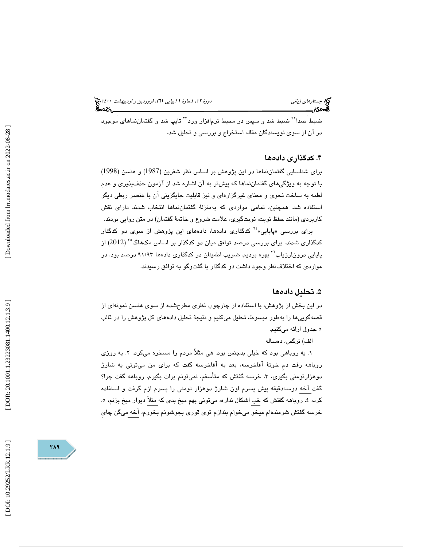ضبط صدا<sup>۲۲</sup> ضبط شد و سپس در محیط نرمافزار ورد<sup>۲۲</sup> تایپ شد و گفتماننما*ه*ای موجود در آن از سوی نویسندگان مقاله استخراج و بررسی و تحلیل شد.

# ۴. كدگذارى دادەھا

براي شناسايي گفتماننماها در اين پژوهش بر اساس نظر شفرين (1987) و هنسن (1998) با توجه به ويژگيهاي گفتماننماها كه پيش تر به آن اشاره شد از آزمون حذفپذيري و عدم لطمه به ساخت نحوي و معناي غيرگزارهاي و نيز قابليت جايگزيني آن با عنصر ربطي ديگر استفاده شد. همچنين، تمامي مواردي كه بهمنزلة گفتماننماها انتخاب شدند داراي نقش کاربردی (مانند حفظ نوبت، نوبتگیری، علامت شروع و خاتمهٔ گفتمان) در متن روایی بودند.<br>برای بررسی «پایایی» <sup>۲۶</sup> کدگذاری دادهها، دادههای این پژوهش از سوی دو کدگذار

کدگذاری شدند. برای بررسی درصد توافق میان دو کدگذار بر اساس مکـهاگ°<sup>۳</sup> (2012) از پایایی درونارزیاب<sup>۲۲</sup> بهره بردیم. ضریب اطمینان در کدگذاری دادهها ۹۱/۹۳ درصد بود. در مواردي كه اختلافنظر وجود داشت دو كدگذار با گفتوگو به توافق رسيدند.

# . تحليل داده ها 5

در اين بخش از پژوهش، با استفاده از چارچوب نظري مطرحشده از سوي هنسن نمونهاي از قصهگوييها را بهطور مبسوط، تحليل ميكنيم و نتيجة تحليل دادههاي كل پژوهش را در قالب 5 جدول ارائه ميكنيم.

الف) نرگس، دهساله

۱. یه روباهی بود که خیلی بدجنس بود. هی مثلاً مردم را مسخره میکرد، ۲. یه روزی روباهه رفت دم خونهٔ آقاخرسه، بعد به آقاخرسه گفت كه برای من میتونی یه شارژ دوهزارتومني بگيري، ٣. خرسه گفتش كه متأسفم، نميتونم برات بگيرم. روباهه گفت چرا؟ گفت آخه دوسهدقيقه پيش پسرم اون شارژ دوهزار تومني را پسرم ازم گرفت و استفاده كرد، ٤. روباهه گفتش كه خب اشكال نداره، ميتوني بهم ميخ بدي كه مثلاً ديوار ميخ بزنم، ٥. خرسه گفتش شرمندهام ميخو ميخوام بندازم توي قوري بجوشونم بخورم، آخه ميگن چاي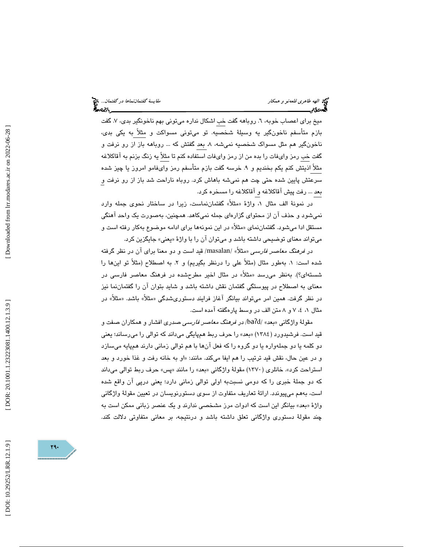ميخ برای اعصاب خوبه، ٦. روباهه گفت خب اشكال نداره میتونی بهم ناخونگير بدی، ٧. گفت بازم متأسفم ناخونگير يه وسيلة شخصيه. تو ميتوني مسواكت و مثلاً به يكي بدي، ناخونگير هم مثل مسواك شخصيه نمي شه، ٨. بعد گفتش كه … روباهه باز از رو نرفت و گفت خب رمز وايفات را بده من از رمز وايفات استفاده كنم تا مثلاً يه زنگ بزنم به آقاكلاغه مثلاً اذيتش كنم يكم بخنديم و ۹. خرسه گفت بازم متأسفم رمز واىفامو امروز يا چيز شده سرعتش پايين شده حتي چت هم نميشه باهاش كرد. روباه ناراحت شد باز از رو نرفت و بعد . .. رفت پيش آقاكلاغه و آقاكلاغه را مسخره كرد.

در نمونهٔ الف مثال ۱، واژهٔ «مثلا» گفتماننماست، زیرا در ساختار نحوی جمله وارد نميشود و حذف آن از محتواي گزارهاي جمله نميكاهد. همچنين، بهصورت يك واحد آهنگي مستقل ادا میشود. گفتماننمای «مثلاً» در این نمونهها برای ادامه موضوع بهکار رفته است و ميتواند معناي توضيحي داشته باشد و ميتوان ان را با واژهٔ «يعني» جايگزين كرد.

در *فرهنگ معاصر فارسي* «مثلاً» /masalan/ قيد است و دو معنا براي آن در نظر گرفته شده است: ١. بهطور مثال (مثلاً علي را درنظر بگيريم) و ٢. به اصطلاح (مثلاً تو اينها را شستهای؟). بهنظر میرسد «مثلاً» در مثال اخیر مطرحشده در فرهنگ معاصر فارسی در معنای به اصطلاح در پیوستگی گفتمان نقش داشته باشد و شاید بتوان آن را گفتماننما نیز در نظر گرفت. همین امر میتواند بیانگر اغاز فرایند دستوریشدگی «مثلا» باشد. «مثلا» در مثال 8و ،7 ،4 1 متن الف در وسط پارهگفته آمده است.

مقولهٔ واژگانی «بعد» /baʔd/ در *فرهنگ معاصر فارسی* صدری افشار و همکاران صفت و قيد است. فرشيدورد (1384) «بعد» را حرف ربط همپايگي ميداند كه توالي را ميرساند؛ يعني دو كلمه يا دو جملهواره يا دو گروه را كه فعل آنها با هم توالي زماني دارند همپايه ميسازد و در عين حال، نقش قيد ترتيب را هم ايفا ميكند. مانند: «او به خانه رفت و غذا خورد و بعد استراحت کرد». خانلری (۱۳۷۰) مقولهٔ واژگانی «بعد» را مانند «پس» حرف ربط توالی میداند كه دو جملة خبري را كه دومي نسبتبه اولي توالي زماني دارد؛ يعني درپي آن واقع شده است، بههم ميپيوندد. ارائة تعاريف متفاوت از سوي دستورنويسان در تعيين مقولة واژگاني واژهٔ «بعد» بیانگر این است که ادوات مرز مشخصی ندارند و یک عنصر زبانی ممکن است به چند مقولة دستوري واژگاني تعلق داشته باشد و درنتيجه، بر معاني متفاوتي دلالت كند.

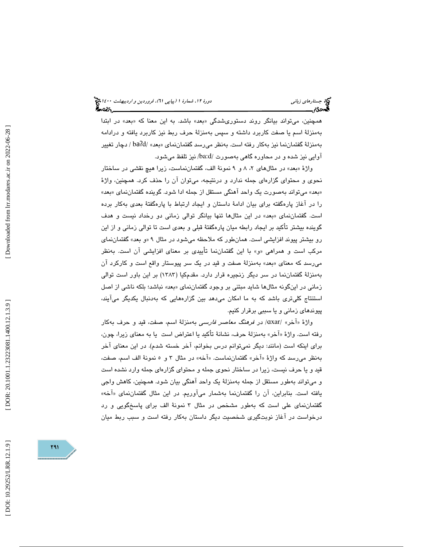همچنین، میتواند بیانگر روند دستوریشدگی «بعد» باشد. به این معنا که «بعد» در ابتدا بهمنزلة اسم يا صفت كاربرد داشته و سپس بهمنزلة حرف ربط نيز كاربرد يافته و درادامه بهمنزلهٔ گفتماننما نیز بهکار رفته است. بهنظر میرسد گفتماننمای «بعد» /baʔd / دچار تغییر آوايي نيز شده و در محاوره گاهي بهصورت /ba:d/ نيز تلفظ ميشود.

واژهٔ «بعد» در مثالهای ۲، ۸ و ۹ نمونهٔ الف، گفتماننماست، زیرا هیچ نقشی در ساختار نحوي و محتواي گزارهاي جمله ندارد و درنتيجه، ميتوان آن را حذف كرد. همچنين، واژة «بعد» میتواند بهصورت یک واحد اهنگی مستقل از جمله ادا شود. گوینده گفتماننمای «بعد» را در آغاز پارهگفته براي بيان ادامهٔ داستان و ايجاد ارتباط با پارهگفتهٔ بعدي بهكار برده است. گفتماننمای «بعد» در اين مثالها تنها بيانگر توالي زماني دو رخداد نيست و هدف گوينده بيشتر تأكيد بر ايجاد رابطه ميان پارهگفتة قبلي و بعدي است تا توالي زماني و از اين رو بيشتر پيوند افزايشي است. همانطور كه ملاحظه ميشود در مثال « 9 و بعد» گفتماننماي مركب است و همراهي «و» با اين گفتماننما تأييدي بر معناي افزايشي آن است. بهنظر م<sub>ع</sub>رسد كه معناى «بعد» بهمنزلهٔ صفت و قيد در يک سر پيوستار واقع است و كاركرد ان بهمنزلة گفتماننما در سر ديگر زنجيره قرار دارد. مقدمكيا (1383) بر اين باور است توالي زمانی در اینگونه مثالها شاید مبتنی بر وجود گفتماننمای «بعد» نباشد؛ بلکه ناشی از اصل استنتاج كليتري باشد كه به ما امكان ميدهد بين گزارههايي كه بهدنبال يكديگر ميآيند، پيوندهاي زماني و يا سببي برقرار كنيم.

واژهٔ «آخر» /ɑxar/ در *فرهنگ معاصر فارسی* بهمنزلهٔ اسم، صفت، قید و حرف بهکار رفته است. واژهٔ «اخر» بەمنزلهٔ حرف، نشانهٔ تاكيد يا اعتراض است يا به معناي زيرا، چون، براي اينكه است (مانند: ديگر نميتوانم درس بخوانم، آخر خسته شدم). در اين معناي آخر بهنظر ميرسد كه واژهٔ «اخر» گفتماننماست. «اخه» در مثال ۳ و ه نمونهٔ الف اسم، صفت، قيد و يا حرف نيست ، زيرا در ساختار نحوي جمله و محتواي گزارهاي جمله وارد نشده است و ميتواند بهطور مستقل از جمله بهمنزلة يك واحد آهنگي بيان شود. همچنين، كاهش واجي يافته است. بنابراين، ان را گفتماننما بهشمار ميJوريم. در اين مثال گفتماننماي «اخه» گفتماننماي علي است كه بهطور مشخص در مثال 3 نمونة الف براي پاسخگويي و رد درخواست در آغاز نوبتگيري شخصيت ديگر داستان بهكار رفته است و سبب ربط ميان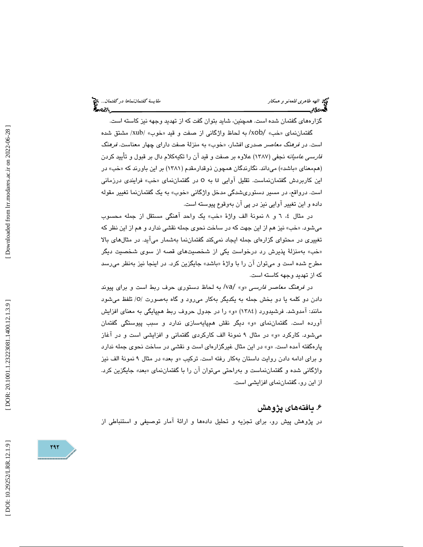الهه طاهري قلعهنو و همكار مقايسة گفتماننماها در گفتمان...

گزارههاي گفتمان شده است. همچنين، شايد بتوان گفت كه از تهديد وجهه نيز كاسته است. گفتماننمای «خب» /xob/ به لحاظ واژگانی از صفت و قید «خوب» /xub/ مشتق شده است. در *فرهنگ معاصر* صدري افشار، «خوب» به منزلهٔ صفت داراي چهار معناست. *فرهنگ* فارسي عاميانه نجفي (1387 ) علاوه بر صفت و قيد آن را تكيهكلام دال بر قبول و تأييد كردن (هممعنای «باشد») میداند. نگارندگان همچون ذوقدارمقدم (۱۳۸۱) بر این باورند که «خب» در این کاربردش گفتماننماست. تقلیل آوایی U به 0 در گفتماننمای «خب» فرایندی درزمانی است. درواقع، در مسير دستوريشدگي مدخل واژگاني «خوب» به يک گفتماننما تغيير مقوله داده و اين تغيير آوايي نيز در پي آن بهوقوع پيوسته است.

در مثال ٤، ٦ و ٨ نمونهٔ الف واژهٔ «خب» یک واحد اهنگی مستقل از جمله محسوب میشود. «خب» نیز هم از این جهت كه در ساخت نحوی جمله نقشی ندارد و هم از این نظر كه تغييري در محتواي گزارهاي جمله ايجاد نميكند گفتماننما بهشمار ميآيد. در مثالهاي بالا خب» بهمنزلة پذيرش رد درخواست يكي از شخصيتهاي قصه از سوي شخصيت ديگر » مطرح شده است و میتوان ان را با واژهٔ «باشد» جایگزین کرد. در اینجا نیز بهنظر میرسد كه از تهديد وجهه كاسته است.

در فرهنگ معاصر فارسي »و« /va/ به لحاظ دستوري حرف ربط است و براي پيوند دادن دو كلمه يا دو بخش جمله به يكديگر بهكار مىرود و گاه بهصورت /0/ تلفظ مىشود مانند: آمدوشد. فرشیدورد (١٣٨٤) «و» را در جدول حروف ربط همپایگی به معنای افزایش آورده است. گفتماننماي «و» ديگر نقش همپايهسازي ندارد و سبب پيوستگي گفتمان ميشود. كاركرد »و« در مثال 9 نمونة الف كاركردي گفتماني و افزايشي است و در آغاز پارهگفته آمده است. «و» در اين مثال غيرگزارهاي است و نقشي در ساخت نحوي جمله ندارد و برای ادامه دادن روایت داستان بهکار رفته است. ترکیب «و بعد» در مثال ۹ نمونهٔ الف نیز واژگاني شده و گفتماننماست و بەراحتي ميتوان ان را با گفتماننماي «بعد» جايگزين كرد. از اين رو، گفتماننماي افزايشي است.

# ۶. يافتههای پژوهش

در پژوهش پيش رو، براي تجزيه و تحليل دادهها و ارائة آمار توصيفي و استنباطي از

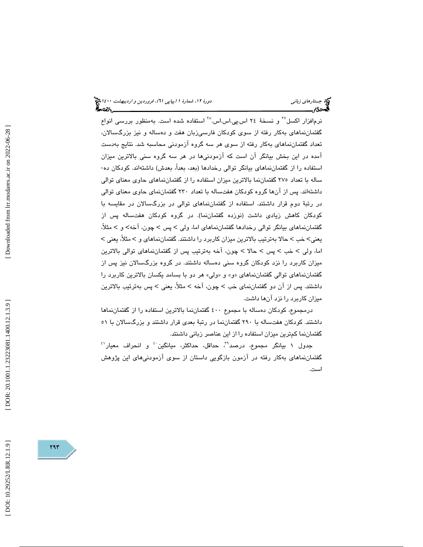نرمافزار اكسل<sup>7۷</sup> و نسخهٔ ۲۶ اس.پی.اس.اس.<sup>۲۸</sup> استفاده شده است. بهمنظور بررسی انواع گفتماننماهاي بهكار رفته از سوي كودكان فارسيزبان هفت و دهساله و نيز بزرگسالان، تعداد گفتماننماهاي بهكار رفته از سوي هر سه گروه آزمودني محاسبه شد. نتايج بهدست آمده در این بخش بیانگر آن است که آزمودنیها در هر سه گروه سنی بالاترین میزان<br>استفاده را از گفتماننماهای بیانگر توالی رخدادها (بعد، بعداً، بعدش) داشتهاند. کودکان ده-ساله با تعداد 275 گفتماننما بالاترين ميزان استفاده را از گفتماننماهاي حاوي معناي توالي داشتهاند. پس از آنها گروه كودكان هفتساله با تعداد 230 گفتماننماي حاوي معناي توالي در رتبة دوم قرار داشتند. استفاده از گفتماننماهاي توالي در بزرگسالان در مقايسه با كودكان كاهش زيادي داشت (نوزده گفتماننما). در گروه كودكان هفتساله پس از گفتماننماهای بیانگر توالی رخدادها گفتماننماهای اما، ولی > پس > چون، آخه> و > مثلاً، یعنی> خب > حالا بەترتیب بالاترین میزان کاربرد را داشتند. گفتماننماهای و > مثلاً، یعنی > اما، ولی > خب > پس > حالا > چون، آخه بهترتيب پس از گفتماننماهای توالی بالاترين ميزان كاربرد را نزد كودكان گروه سني دهساله داشتند. در گروه بزرگسالان نيز پس از گفتماننماهاي توالي گفتماننماهاي «و» و «ولي» هر دو با بسامد يكسان بالاترين كاربرد را داشتند. پس از آن دو گفتمان $\omega$ ای خب > چون، آخه > مثلاً، یعنی > پس بهترتیب بالاترین ميزان كاربرد را نزد آنها داشت.

درمجموع، كودكان دهساله با مجموع 400 گفتماننما بالاترين استفاده را از گفتماننماها داشتند. كودكان هفتساله با 290 گفتماننما در رتبة بعدي قرار داشتند و بزرگسالان با 51 گفتمان نما كمترين ميزان استفاده را از اين عناصر زباني داشنتد.

جدول ۱ بيانگر مجموع، درصد<sup>٢٩</sup>، حداقل، حداكثر، ميانگين<sup>،؛</sup> و انحراف معيار<sup>،؛</sup> گفتماننماهاي بهكار رفته در آزمون بازگويي داستان از سوي آزمودنيهاي اين پژوهش است.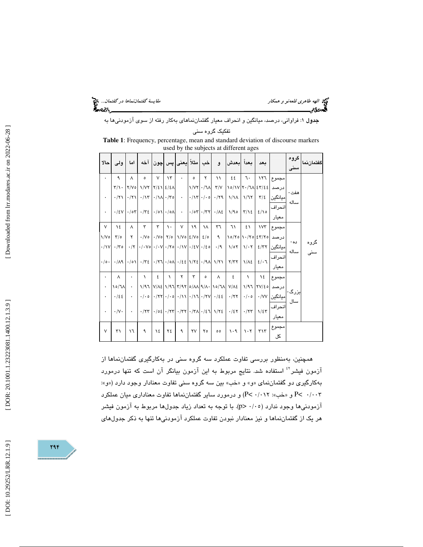الهه طاهري قلعهنو و همكار مقايسة گفتماننماها در گفتمان...

جدول 1: فراواني، درصد، ميانگين و انحراف معيار گفتماننماهاي بهكار رفته از سوي آزمودنيها به

تفكيك گروه سني

**Table 1**: Frequency, percentage, mean and standard deviation of discourse markers used by the subjects at different ages

| احالا          | ولى                     | اما                  |                                                                                                                                                                                                                                                                                                                           |                    |             | و  خب مثلاً يعني پس چون آخه |               |           |                                   | اسعداً اسعدش                                                                |             | ىعد                |                                                                                      | گروه<br>سنے                                                                                                                                                                                                                      | گفتمان نما |  |  |
|----------------|-------------------------|----------------------|---------------------------------------------------------------------------------------------------------------------------------------------------------------------------------------------------------------------------------------------------------------------------------------------------------------------------|--------------------|-------------|-----------------------------|---------------|-----------|-----------------------------------|-----------------------------------------------------------------------------|-------------|--------------------|--------------------------------------------------------------------------------------|----------------------------------------------------------------------------------------------------------------------------------------------------------------------------------------------------------------------------------|------------|--|--|
| $\bullet$      | ٩                       | $\Lambda$            | $\circ$                                                                                                                                                                                                                                                                                                                   | $\vee$             | $\lambda$ ۳ | $\ddot{\phantom{0}}$        | $\circ$       | ۲         | $\mathcal{L}$                     | ٤٤                                                                          |             | $7 - 177$          | مجموع                                                                                |                                                                                                                                                                                                                                  |            |  |  |
|                |                         |                      | $Y/\gamma$ $Y/V$ o $Y/V$ $Y/\xi$ $\xi/\xi$                                                                                                                                                                                                                                                                                |                    |             |                             |               |           | $1/VY$ $\cdot$ / $1\Lambda$ $Y/V$ |                                                                             |             |                    | ا درصد   ٤٣/٤٤   ٢٠/١٧   ١٥/١٧                                                       | هفت-                                                                                                                                                                                                                             |            |  |  |
| ۰              | $\cdot$ /۲۱             |                      | $\cdot$ $\vert$ $\cdot$ $\vert$ $\cdot$ $\vert$ $\cdot$ $\vert$ $\cdot$ $\vert$ $\cdot$ $\vert$ $\cdot$ $\vert$ $\cdot$ $\vert$ $\cdot$ $\vert$ $\cdot$                                                                                                                                                                   |                    |             |                             |               |           |                                   | $ \cdot Y \cdot \cdot 0 \cdot Y $ $ \cdot 1 \cdot 1 $                       |             | $\frac{1}{2}$      | امىانگىن                                                                             | ساله                                                                                                                                                                                                                             |            |  |  |
| $\bullet$      |                         |                      | $\cdot$   { 2   $\cdot$   $\cdot$   $\cdot$   $\cdot$   $\cdot$   $\cdot$   $\cdot$   $\cdot$   $\cdot$   $\cdot$   $\cdot$   $\cdot$   $\cdot$   $\cdot$   $\cdot$   $\cdot$   $\cdot$   $\cdot$   $\cdot$   $\cdot$   $\cdot$   $\cdot$   $\cdot$   $\cdot$   $\cdot$   $\cdot$   $\cdot$   $\cdot$   $\cdot$   $\cdot$ |                    |             |                             |               |           |                                   | $\cdot$ /07 $\cdot$ /77 $\cdot$ / $\wedge$ $\in$ $\setminus$ /90 $\top$ /12 |             |                    | 2/10                                                                                 | انحراف                                                                                                                                                                                                                           |            |  |  |
|                |                         |                      |                                                                                                                                                                                                                                                                                                                           |                    |             |                             |               |           |                                   |                                                                             |             |                    | معنار                                                                                |                                                                                                                                                                                                                                  |            |  |  |
| $\mathsf{V}$   | ١٤                      | $\Lambda$            | ٣                                                                                                                                                                                                                                                                                                                         | ٣                  | $\lambda$ . | $\vee$                      | $\mathcal{A}$ | $\lambda$ | ٣٦                                | ٦١                                                                          | ٤١          |                    | مجموع  ۱۷۳                                                                           |                                                                                                                                                                                                                                  |            |  |  |
| $\sqrt{v}$     | $\mathbf{r}/\mathbf{c}$ |                      | $Y \cdot V \circ \cdot V \circ Y \circ Y \circ V \circ \epsilon/V \circ Y$                                                                                                                                                                                                                                                |                    |             |                             |               | 2/0       | $\mathcal{A}$                     |                                                                             |             |                    | درصد   ٤٣/٢٥   ١٠/٢٥   ١٥/٢٥                                                         | ده -                                                                                                                                                                                                                             |            |  |  |
| $\cdot/\gamma$ | $\cdot$ /۳٥             |                      | $\cdot$ /۲ $\cdot$ /۰۷ $\cdot$ /۰۷ $\cdot$ /۲۰/۰/۲۰/۰/۶۷ $\cdot$ /٤۷ $\cdot$                                                                                                                                                                                                                                              |                    |             |                             |               |           | $\cdot/9$                         |                                                                             |             |                    | میانگین  ۱/۰۲   ۱/۰۲   ۱/۰۲                                                          | ساله                                                                                                                                                                                                                             | گروه       |  |  |
| .10.           |                         |                      |                                                                                                                                                                                                                                                                                                                           |                    |             |                             |               |           |                                   |                                                                             |             |                    |                                                                                      | $\cdot$ /19 \displaystyle / 17 \displaystyle / 1/23 \displaystyle / 1/23 \displaystyle / 1/29 \displaystyle / 1/29 \displaystyle / 1/29 \displaystyle / 1/29 \displaystyle / 1/29 \displaystyle / 1/29 \displaystyle / 1/29 \dis | انحراف     |  |  |
|                |                         |                      |                                                                                                                                                                                                                                                                                                                           |                    |             |                             |               |           |                                   |                                                                             |             |                    | معيار                                                                                |                                                                                                                                                                                                                                  |            |  |  |
| $\bullet$      | $\Lambda$               | $\ddot{\phantom{0}}$ | $\lambda$                                                                                                                                                                                                                                                                                                                 | ٤                  | $\Delta$    | $\mathbf{r}$                | $\mathbf{r}$  | $\circ$   | $\Lambda$                         | $\epsilon$                                                                  | $\Delta$    | $\lambda \epsilon$ | مجموع                                                                                |                                                                                                                                                                                                                                  |            |  |  |
| ۰              | $\lambda o/\lambda$     | $\bullet$            |                                                                                                                                                                                                                                                                                                                           |                    |             |                             |               |           |                                   | 1/97 V/AE 1/97 Y/97 0/AA 9/A - 10/7A V/AE                                   |             |                    | درصد ۲۷/٤٥ ١/٩٦                                                                      | ىزرگ-                                                                                                                                                                                                                            |            |  |  |
| $\bullet$      | .155                    | $\ddot{\phantom{0}}$ |                                                                                                                                                                                                                                                                                                                           |                    |             |                             |               |           |                                   |                                                                             |             |                    | ميانگين  ۰/۰٥   ۰/۰۰   ۰/۲۲   ۰/۶٤   ۰/۲۷   ۰/۱۹   ۰/۱۰   ۰/۰۰   ۰/۲۲   ه ۰/۰   ۰/۰۰ |                                                                                                                                                                                                                                  |            |  |  |
|                | $\cdot/\vee \cdot$      | $\sim$               |                                                                                                                                                                                                                                                                                                                           |                    |             |                             |               |           |                                   |                                                                             |             |                    | سال<br>انحراف                                                                        |                                                                                                                                                                                                                                  |            |  |  |
| $\bullet$      |                         |                      |                                                                                                                                                                                                                                                                                                                           |                    |             |                             |               |           |                                   |                                                                             |             |                    | معنار                                                                                |                                                                                                                                                                                                                                  |            |  |  |
| $\vee$         | ٣١                      | ۱٦                   | $\mathcal{A}$                                                                                                                                                                                                                                                                                                             | $\lambda \epsilon$ | ٢٤          | ٩                           | YV            | ۲٥        | $^{\circ}$                        |                                                                             | $1.9$ $1.7$ | T17                | مجموع                                                                                |                                                                                                                                                                                                                                  |            |  |  |
|                |                         |                      |                                                                                                                                                                                                                                                                                                                           |                    |             |                             |               |           |                                   |                                                                             |             |                    | کل,                                                                                  |                                                                                                                                                                                                                                  |            |  |  |

همچنين، بهمنظور بررسي تفاوت عملكرد سه گروه سني در بهكارگيري گفتماننماها از 42 آزمون فيشر استفاده شد. نتايج مربوط به اين آزمون بيانگر آن است كه تنها درمورد بهكارگيري دو گفتماننماي «و» و «خب» بين سه گروه سني تفاوت معنادار وجود دارد («و»: ) و درمورد ساير گفتماننماها تفاوت معناداري ميان عملكرد P 003 /0 >P» و خب»: 012 /0 > آزمودنيها وجود ندارد ( 05/0 <p(. با توجه به تعداد زياد جدولها مربوط به آزمون فيشر هر يك از گفتماننماها و نيز معنادار نبودن تفاوت عملكرد آزمودنيها تنها به ذكر جدولهاي

[DOI: 10.29252/LRR.12.1.9]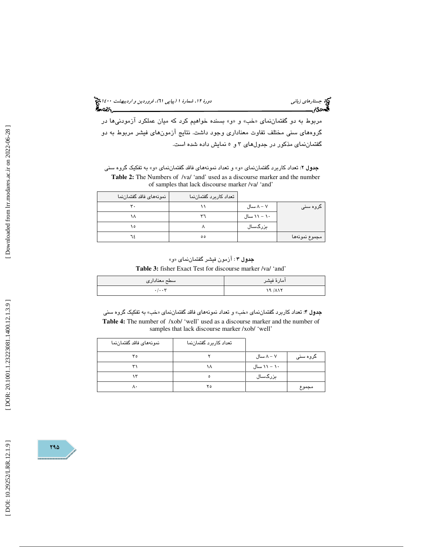مربوط به دو گفتماننمای «خب» و «و» بسنده خواهیم کرد که میان عملکرد ازمودنیها در گروههاي سني مختلف تفاوت معناداري وجود داشت. نتايج آزمونهاي فيشر مربوط به دو گفتماننماي مذكور در جدولهاي 5و 3 نمايش داده شده است.

جدول ۲: تعداد كاربرد گفتماننماي «و» و تعداد نمونههاي فاقد گفتماننماي «و» به تفكيک گروه سني Table 2: The Numbers of /va/ 'and' used as a discourse marker and the number of samples that lack discourse marker /va/ 'and'

|               |             | تعداد كاربرد گفتماننما | نمونههاى فاقد گفتماننما |
|---------------|-------------|------------------------|-------------------------|
| گروہ سنی      | ۸ – ۸ سال   |                        | ۳.                      |
|               | ۱۰ – ۱۱ سال | ٣٦                     |                         |
|               | بزرگسال     |                        | ه ۱                     |
| مجموع نمونهها |             | $\circ \circ$          | ٦٤                      |

**جدول ۳** : آزمون فيشر گفتماننماي «و»

**Table 3:** fisher Exact Test for discourse marker /va/ 'and'

| سطح معناداري     | امارهٔ فیشر |
|------------------|-------------|
| $\ddot{}$<br>. 1 | 19/117      |

**جدول ۴**: تعداد كاربرد گفتماننماي «خب» و تعداد نمونههاي فاقد گفتماننماي «خب» به تفكيک گروه سني **Table 4:** The number of /xob/ 'well' used as a discourse marker and the number of samples that lack discourse marker /xob/ 'well'

| نمونههاى فاقد گفتماننما | تعداد كاربرد گفتماننما |             |          |
|-------------------------|------------------------|-------------|----------|
| ٣٥                      |                        | ۸ – ۸ سال   | گروہ سنی |
| ٣١                      | ۱۸                     | ۱۰ – ۱۱ سال |          |
| ١٣                      | $\circ$                | بزرگسال     |          |
| ٨٠                      | ۲٥                     |             | مجموع    |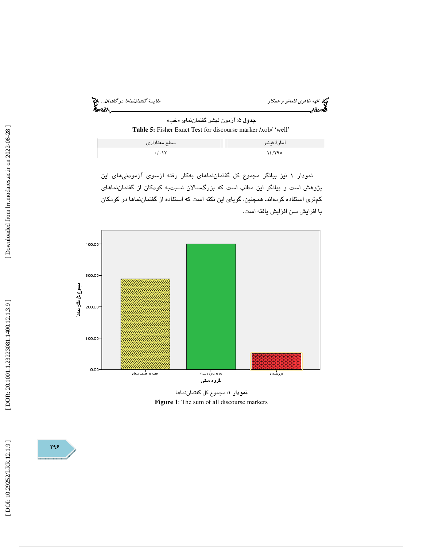الهه طاهري قلعه*نو و همكار مقايسة گفتمانندا*... کار مقايسة گفتماننماها در گفتمان... کار مقايسة گفتمان... کار مقا<br>الههای کار مقایسه گفته گفته گفته به گفته گفته به کار مقایسه به کار مقایسه گفته به کار مقایسه گفته گفته به گف

جدول 5: آزمون فيشر گفتماننماي « خب » **Table 5:** Fisher Exact Test for discourse marker /xob/ 'well '

| اسطح معناداري | آمارهٔ فیشر |
|---------------|-------------|
| .7.1          | 18/790      |

نمودار 1 نيز بيانگر مجموع كل گفتماننماهاي بهكار رفته ازسوي آزمودنيهاي اين پژوهش است و بيانگر اين مطلب است كه بزرگسالان نسبتبه كودكان از گفتماننماهاي كمتري استفاده كردهاند. همچنين ، گوياي اين نكته است كه استفاده از گفتماننماها در كودكان با افزايش سن افزايش يافته است.



نمودار 1: مجموع كل گفتماننماها **Figure 1**: The sum of all discourse markers

798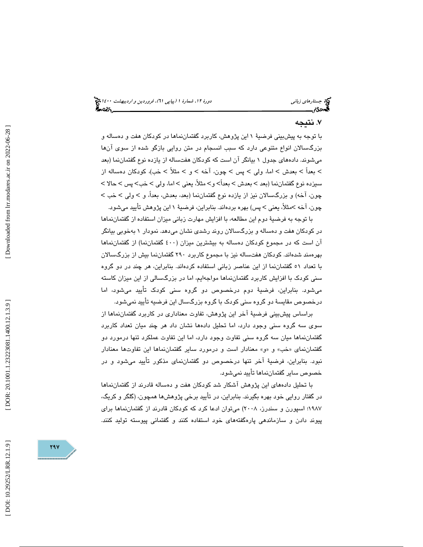# . نتيجه 7

با توجه به پیشبینی فرضیهٔ ۱ این پژوهش، کاربرد گفتماننماها در کودکان هفت و دهساله و بزرگسالان انواع متنوعي دارد كه سبب انسجام در متن روايي بازگو شده از سوي آنها ميشوند. دادههاي جدول 1 بيانگر آن است كه كودكان هفتساله از يازده نوع گفتماننما (بعد > بعداً > بعدش > اما، ولمي > پس > چون، آخه > و > مثلاً > خب)، كودكان دهساله از سیزدہ نوع گفتماننما (بعد > بعدش > بعداً> و> مثلاً، یعنی > اما، ولی > خب> پس > حالا > چون، آخه) و بزرگسالان نیز از یازده نوع گفتماننما (بعد، بعدش، بعداً، و > ولی > خب > چون، آخه >مثلاً، يعنی > پس) بهره بردهاند. بنابراين، فرضيهٔ ١ اين پژوهش تأييد ميشود.

با توجه به فرضي ة دوم اين مطالعه ، با افزايش مهارت زباني ميزان استفاده از گفتماننماها در كودكان هفت و دهساله و بزرگسالان روند رشدي نشان ميدهد. نمودار به 1 خوبي بيانگر آن است كه در مجموع كودكان دهساله به بيشترين ميزان (400 گفتماننما) از گفتماننماها بهرهمند شدهاند. كودكان هفتساله نيز با مجموع كاربرد 290 گفتماننما بيش از بزرگسالان با تعداد 51 گفتماننما از اين عناصر زباني استفاده كردهاند. بنابراين ، هر چند در دو گروه سني كودک با افزايش كاربرد گفتماننماها مواجهايم، اما در بزرگسالي از اين ميزان كاسته میشود. بنابراین، فرضیهٔ دوم درخصوص دو گروه سنی کودک تایید میشود، اما درخصوص مقايسهٔ دو گروه سني كودک با گروه بزرگسال اين فرضيه تأييد نمي شود.

براساس پيشبيني فرضي ة آخر اين پژوهش ، تفاوت معناداري در كاربرد گفتماننماها از سوی سه گروه سنی وجود دارد، اما تحلیل دادهها نشان داد هر چند میان تعداد كاربرد گفتماننماها ميان سه گروه سني تفاوت وجود دارد ، اما اين تفاوت عملكرد تنها درمورد دو گفتماننماي «خب» و «و» معنادار است و درمورد ساير گفتماننماها اين تفاوتها معنادار نبود. بنابراين، فرضيهٔ آخر تنها درخصوص دو گفتماننمای مذکور تأييد ميشود و در خصوص ساير گفتماننماها تأييد نميشود .

با تحليل دادههاي اين پژوهش آشكار شد كودكان هفت و دهساله قادرند از گفتماننماها در گفتار روايي خود بهره بگيرند. بنابراين ، در تأييد برخي پژوهشها همچون، (گلگر و كريگ، 1987 ؛ اسپورن و سندرز، 2008) ميتوان ادعا كرد كه كودكان قادرند از گفتماننماها براي پيوند دادن و سازماندهي پاره گفتههاي خود استفاده كنند و گفتماني پيوسته توليد كنند.

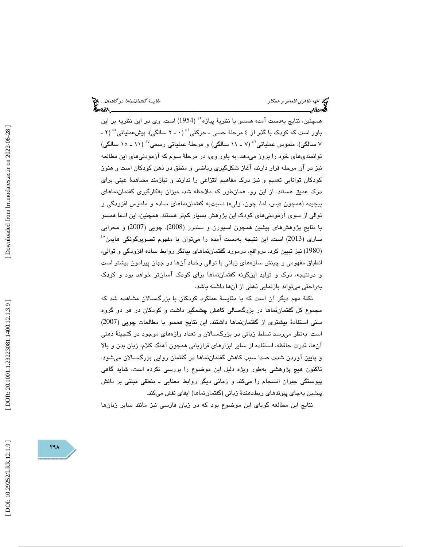همچنين، نتايج بهدست آمده همسو با نظريهٔ پياژه<sup>٤٢</sup> (1954) است. وی در اين نظريه بر اين باور است كه كودک با گذر از ٤ مرحلهٔ حس*ى* ـ حركتى<sup>؛؛</sup> (٠ ـ ٢ سالگى)، پیشعملیاتى°<sup>؛</sup> (٢ ـ ۷ سالگی)، ملموس عملیاتی<sup>۶</sup>٬ (۷ ـ ۱۱ سالگی) و مرحلهٔ عملیاتی رسمی<sup>۶٬</sup> (۱۱ ـ ۱۰ سالگی) توانمنديهاي خود را بروز ميدهد. به باور وي، در مرحلهٔ سوم كه آزمودنيهاي اين مطالعه نيز در آن مرحله قرار دارند، آغاز شكلگيري رياضي و منطق در ذهن كودكان است و هنوز كودكان توانايي تعميم و نيز درك مفاهيم انتزاعي را ندارند و نيازمند مشاهدهٔ عيني براي درک عمیق هستند. از این رو، همانطور که ملاحظه شد، میزان بهکارگیری گفتماننماهای پيچيده (همچون «پس، اما، چون، ولي») نسبتبه گفتماننماهاي ساده و ملموس افزودگي و توالي از سوي آزمودنيهاي كودك اين پژوهش بسيار كمتر هستند. همچنين ، اين ادعا همسو با نتايج پژوهشهاي پيشين همچون اسپورن و سندرز (2008)، چويي (2007) و محرابي  $^{4\lambda}$  است. اين نتيجه بهدست آمده را مىتوان با مفهوم تصويرگونگى هايمن (1980) نیز تبیین کرد. درواقع، درمورد گفتمان $\,$ نماهای بیانگر روابط ساده افزودگی و توالی، انطباق مفهومي و چينش سازههاي زباني با توالي رخداد آنها در جهان پيرامون بيشتر است و درنتيجه ، درك و توليد اينگونه گفتماننماها براي كودك آ سانتر خواهد بود و كودك بهراحتي ميتواند بازنمايي ذهني از آنها داشته باشد.

نكتهٔ مهم ديگر آن است كه با مقايسهٔ عملكرد كودكان با بزرگسالان مشاهده شد كه مجموع كل گفتماننماها در بزرگسالي كاهش چشمگير داشت و كودكان در هر دو گروه سني استفادهٔ بيشتري از گفتماننماها داشتند. اين نتايج همسو با مطالعات چويي (2007) است. بهنظر مي رسد تسلط زباني در بزرگسالان و تعداد واژههاي موجود در گنجينهٔ ذهني آنها، قدرت حافظه، استفاده از ساير ابزارهاي فرازباني همچون آهنگ كلام، زبان بدن و بالا و پايين آوردن شدت صدا سبب كاهش گفتماننماها در گفتمان روايي بزرگسالان ميشود. تاكنون هيچ پژوهشي بهطور ويژه دليل اين موضوع را بررسي نكرده است، شايد گاهي پيوستگي جبران انسجام را ميكند و زماني ديگر روابط معنايي ـ منطقي مبتني بر دانش پيشين بهجاي پيوندهاي ربطدهندهٔ زباني (گفتماننماها) ايفاي نقش ميكند.

نتايج اين مطالعه گوياي اين موضوع بود كه در زبان فارسي نيز مانند ساير زبانها

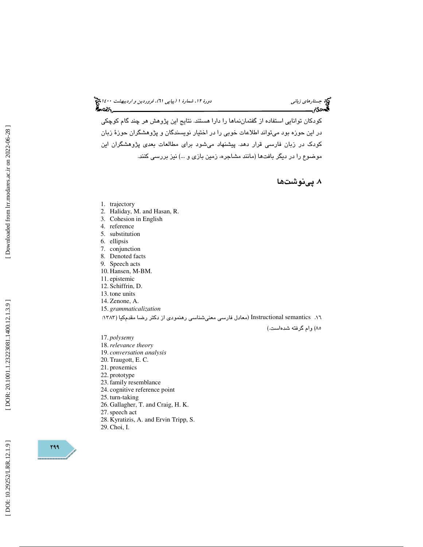(پياپي 61)، فروردين و ارديبهشت 1400 جستارهاي زباني دورة ،12 شمارة 1

كودكان توانايي استفاده از گفتماننماها را دارا هستند. نتايج اين پژوهش هر چند گام كوچكي در اين حوزه بود ميتواند اطلاعات خوبي را در اختيار نويسندگان و پژوهشگران حوزهٔ زبان كودك در زبان فارسي قرار دهد. پيشنهاد ميشود براي مطالعات بعدي پژوهشگران اين موضوع را در ديگر بافتها (مانند مشاجره، زمين بازي و ...) نيز بررسي كنند .

. پينوشتها 8

- 1. trajectory
- 2. Haliday, M. and Hasan, R.
- 3. Cohesion in English
- 4. reference
- 5. substitution
- 6. ellipsis
- 7. conjunction 8. Denoted facts
- 9. Speech acts
- 10. Hansen, M-BM.
- 11. epistemic
- 12. Schiffrin, D.
- 13. tone units
- 14. Zenone, A.
- 15. *grammaticalization*

16. semantics Instructional ) معادل فارسي معنيشناسي رهنمودي از دكتر رضا مقدمكيا (:1383

85) وام گرفته شدهاست.)

17. *polysemy*

- 18.*relevance theory*
- 19. *conversation analysis*
- 20. Traugott, E. C.
- 21. proxemics
- 22. prototype
- 23. family resemblance
- 24. cognitive reference point
- 25. turn-taking
- 26. Gallagher, T. and Craig, H. K.
- 27.speech act
- 28. Kyratizis, A. and Ervin Tripp, S.
- 29. Choi, I.

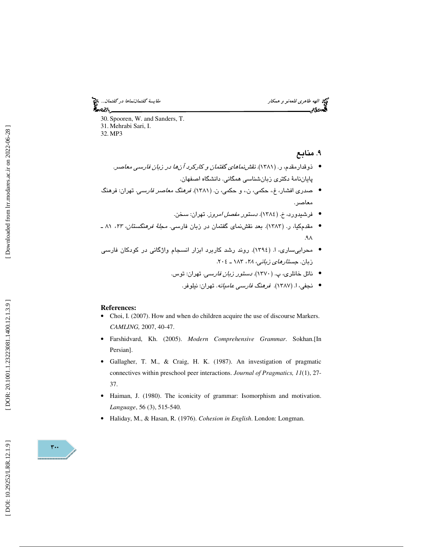الهه طاهري قلعهنو و همكار مقايسة گفتماننماها در گفتمان... ⁄ેન્લ્ડિ\

30. Spooren, W. and Sanders, T. 31. Mehrabi Sari, I. 32. MP3

. منابع 9

- ذوقدارمقدم، ر. (۱۳۸۱). *نقش نماهای گفتمان و کارکرد آنها در زبان فارسی معاصر.* پاياننامهٔ دكتری زبانشناسی همگانی. دانشگاه اصفهان.
- صدري افشار، غ،. حكمي، ن،. و حكمي، ن. (1381). فرهنگ معاصر فارسي. تهران: فرهنگ معاصر.
	- فرشيدورد، خ. (1384). دستور مفصل امروز . تهران: سخن. •
- مقدمکیا، ر. (۱۳۸۳). بعد نقشنمای گفتمان در زبان فارس*ی. مجلهٔ فرهنگستان، ۲۳،* ۸۱ ـ  $A \wedge$
- محرابيساري، ا. (1394). روند رشد كاربرد ابزار انسجام واژگاني در كودكان فارسي زبان. ج*ستارهاي زباني، ٢٨،* ١٨٣ ـ ٢٠٤.
	- ناتل خانلري، پ. (١٣٧٠). *دستور زبان فارسي.* تهران: توس.
		- نجفی، ا. (۱۳۸۷). ق*رمنگ فارسی عامیانه*. تهران: نیلوفر.

- **References:**  Choi, I. (2007). How and when do children acquire the use of discourse Markers. *CAMLING,* 2007, 40-47.
- Farshidvard, Kh. (2005). *Modern Comprehensive Grammar*. Sokhan.[In Persian].
- Gallagher, T. M., & Craig, H. K. (1987). An investigation of pragmatic connectives within preschool peer interactions. *Journal of Pragmatics, 11*(1), 27- 37.
- Haiman, J. (1980). The iconicity of grammar: Isomorphism and motivation. *Language*, 56 (3), 515-540.
- Haliday, M., & Hasan, R. (1976). *Cohesion in English*. London: Longman.

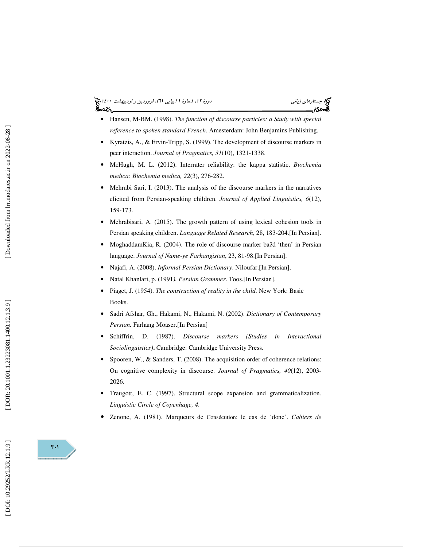# (پياپي 61)، فروردين و ارديبهشت 1400 جستارهاي زباني دورة ،12 شمارة 1

- Hansen, M-BM. (1998). *The function of discourse particles: a Study with special reference to spoken standard French*. Amesterdam: John Benjamins Publishing.
- Kyratzis, A., & Ervin-Tripp, S. (1999). The development of discourse markers in peer interaction. *Journal of Pragmatics, 31*(10), 1321-1338.
- McHugh, M. L. (2012). Interrater reliability: the kappa statistic. *Biochemia medica: Biochemia medica, 22*(3), 276-282.
- Mehrabi Sari, I. (2013). The analysis of the discourse markers in the narratives elicited from Persian-speaking children. *Journal of Applied Linguistics, 6*(12), 159-173.
- Mehrabisari, A. (2015). The growth pattern of using lexical cohesion tools in Persian speaking children. *Language Related Research*, 28, 183-204.[In Persian].
- MoghaddamKia, R. (2004). The role of discourse marker ba?d 'then' in Persian language. *Journal of Name-ye Farhangistan*, 23, 81-98.[In Persian].
- Najafi, A. (2008). *Informal Persian Dictionary*. Niloufar.[In Persian].
- Natal Khanlari, p. (1991*). Persian Grammer*. Toos.[In Persian].
- Piaget, J. (1954). *The construction of reality in the child*. New York: Basic Books.
- Sadri Afshar, Gh., Hakami, N., Hakami, N. (2002). *Dictionary of Contemporary Persian.* Farhang Moaser.[In Persian]
- Schiffrin, D. (1987). *Discourse markers (Studies in Interactional Sociolinguistics)* **.** Cambridge: Cambridge University Press.
- Spooren, W., & Sanders, T. (2008). The acquisition order of coherence relations: On cognitive complexity in discourse. *Journal of Pragmatics, 40*(12), 2003- 2026.
- Traugott, E. C. (1997). Structural scope expansion and grammaticalization. *Linguistic Circle of Copenhage, 4*.
- Zenone, A. (1981). Marqueurs de Consécution: le cas de 'donc'. *Cahiers de*